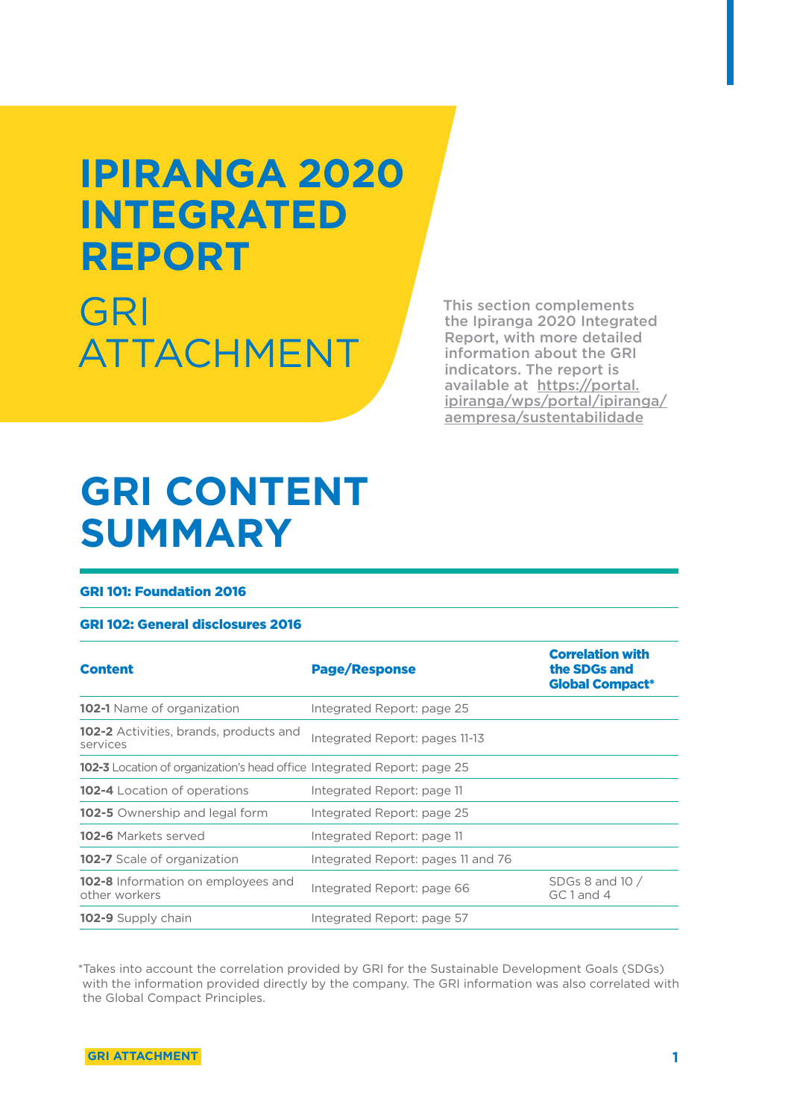# **IPIRANGA 2020 INTEGRATED REPORT**

GRI ATTACHMENT

This section complements the Ipiranga 2020 Integrated Report, with more detailed information about the GRI indicators. The report is available at https://portal. ipiranga/wps/portal/ipiranga/ aempresa/sustentabilidade

### **GRI CONTENT SUMMARY**

#### GRI 101: Foundation 2016

#### GRI 102: General disclosures 2016

| <b>Content</b>                                                                 | <b>Page/Response</b>               | <b>Correlation with</b><br>the SDGs and<br><b>Global Compact*</b> |
|--------------------------------------------------------------------------------|------------------------------------|-------------------------------------------------------------------|
| <b>102-1</b> Name of organization                                              | Integrated Report: page 25         |                                                                   |
| <b>102-2</b> Activities, brands, products and<br>services                      | Integrated Report: pages 11-13     |                                                                   |
| <b>102-3</b> Location of organization's head office Integrated Report: page 25 |                                    |                                                                   |
| <b>102-4</b> Location of operations                                            | Integrated Report: page 11         |                                                                   |
| <b>102-5</b> Ownership and legal form                                          | Integrated Report: page 25         |                                                                   |
| <b>102-6</b> Markets served                                                    | Integrated Report: page 11         |                                                                   |
| <b>102-7</b> Scale of organization                                             | Integrated Report: pages 11 and 76 |                                                                   |
| 102-8 Information on employees and<br>other workers                            | Integrated Report: page 66         | SDGs 8 and $10/$<br>GC1 and 4                                     |
| <b>102-9</b> Supply chain                                                      | Integrated Report: page 57         |                                                                   |

\*Takes into account the correlation provided by GRI for the Sustainable Development Goals (SDGs) with the information provided directly by the company. The GRI information was also correlated with the Global Compact Principles.

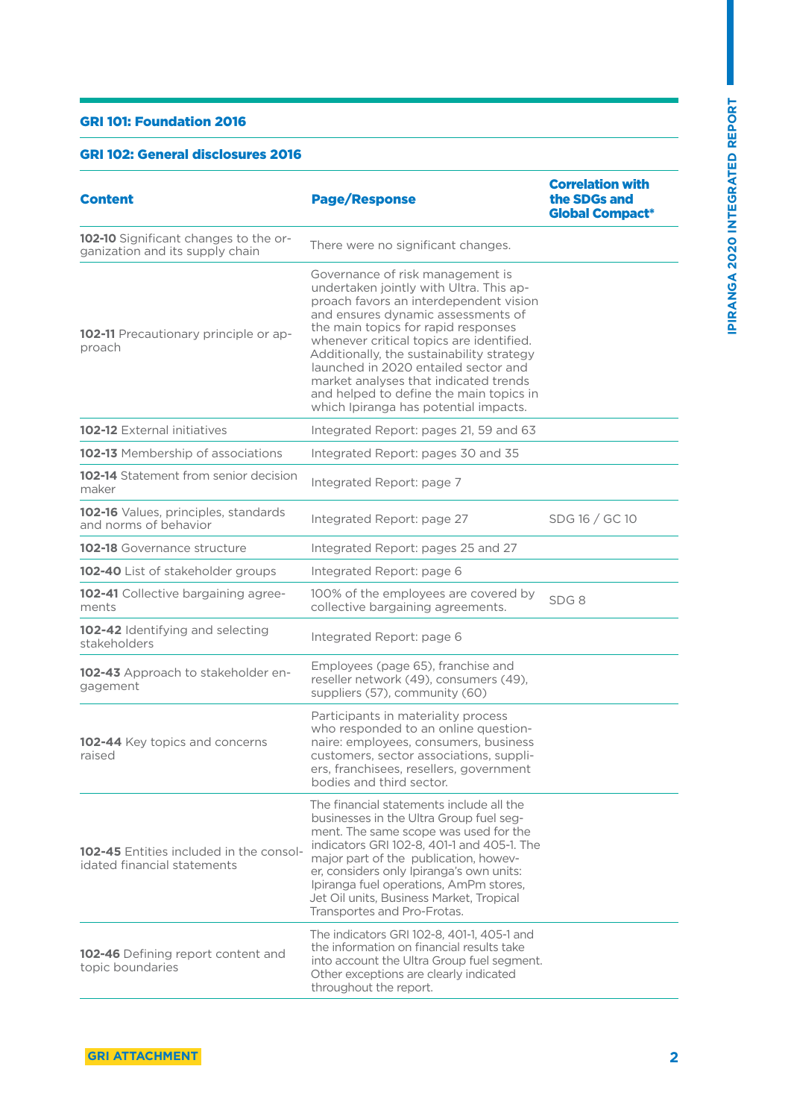#### GRI 101: Foundation 2016

#### GRI 102: General disclosures 2016

| <b>Content</b>                                                                | <b>Page/Response</b>                                                                                                                                                                                                                                                                                                                                                                                                                                             | <b>Correlation with</b><br>the SDGs and<br><b>Global Compact*</b> |
|-------------------------------------------------------------------------------|------------------------------------------------------------------------------------------------------------------------------------------------------------------------------------------------------------------------------------------------------------------------------------------------------------------------------------------------------------------------------------------------------------------------------------------------------------------|-------------------------------------------------------------------|
| 102-10 Significant changes to the or-<br>ganization and its supply chain      | There were no significant changes.                                                                                                                                                                                                                                                                                                                                                                                                                               |                                                                   |
| 102-11 Precautionary principle or ap-<br>proach                               | Governance of risk management is<br>undertaken jointly with Ultra. This ap-<br>proach favors an interdependent vision<br>and ensures dynamic assessments of<br>the main topics for rapid responses<br>whenever critical topics are identified.<br>Additionally, the sustainability strategy<br>launched in 2020 entailed sector and<br>market analyses that indicated trends<br>and helped to define the main topics in<br>which Ipiranga has potential impacts. |                                                                   |
| <b>102-12</b> External initiatives                                            | Integrated Report: pages 21, 59 and 63                                                                                                                                                                                                                                                                                                                                                                                                                           |                                                                   |
| 102-13 Membership of associations                                             | Integrated Report: pages 30 and 35                                                                                                                                                                                                                                                                                                                                                                                                                               |                                                                   |
| <b>102-14</b> Statement from senior decision<br>maker                         | Integrated Report: page 7                                                                                                                                                                                                                                                                                                                                                                                                                                        |                                                                   |
| 102-16 Values, principles, standards<br>and norms of behavior                 | Integrated Report: page 27                                                                                                                                                                                                                                                                                                                                                                                                                                       | SDG 16 / GC 10                                                    |
| <b>102-18</b> Governance structure                                            | Integrated Report: pages 25 and 27                                                                                                                                                                                                                                                                                                                                                                                                                               |                                                                   |
| 102-40 List of stakeholder groups                                             | Integrated Report: page 6                                                                                                                                                                                                                                                                                                                                                                                                                                        |                                                                   |
| 102-41 Collective bargaining agree-<br>ments                                  | 100% of the employees are covered by<br>collective bargaining agreements.                                                                                                                                                                                                                                                                                                                                                                                        | SDG8                                                              |
| 102-42 Identifying and selecting<br>stakeholders                              | Integrated Report: page 6                                                                                                                                                                                                                                                                                                                                                                                                                                        |                                                                   |
| 102-43 Approach to stakeholder en-<br>gagement                                | Employees (page 65), franchise and<br>reseller network (49), consumers (49),<br>suppliers (57), community (60)                                                                                                                                                                                                                                                                                                                                                   |                                                                   |
| 102-44 Key topics and concerns<br>raised                                      | Participants in materiality process<br>who responded to an online question-<br>naire: employees, consumers, business<br>customers, sector associations, suppli-<br>ers, franchisees, resellers, government<br>bodies and third sector.                                                                                                                                                                                                                           |                                                                   |
| <b>102-45</b> Entities included in the consol-<br>idated financial statements | The financial statements include all the<br>businesses in the Ultra Group fuel seg-<br>ment. The same scope was used for the<br>indicators GRI 102-8, 401-1 and 405-1. The<br>major part of the publication, howev-<br>er, considers only Ipiranga's own units:<br>Ipiranga fuel operations, AmPm stores,<br>Jet Oil units, Business Market, Tropical<br>Transportes and Pro-Frotas.                                                                             |                                                                   |
| <b>102-46</b> Defining report content and<br>topic boundaries                 | The indicators GRI 102-8, 401-1, 405-1 and<br>the information on financial results take<br>into account the Ultra Group fuel segment.<br>Other exceptions are clearly indicated<br>throughout the report.                                                                                                                                                                                                                                                        |                                                                   |

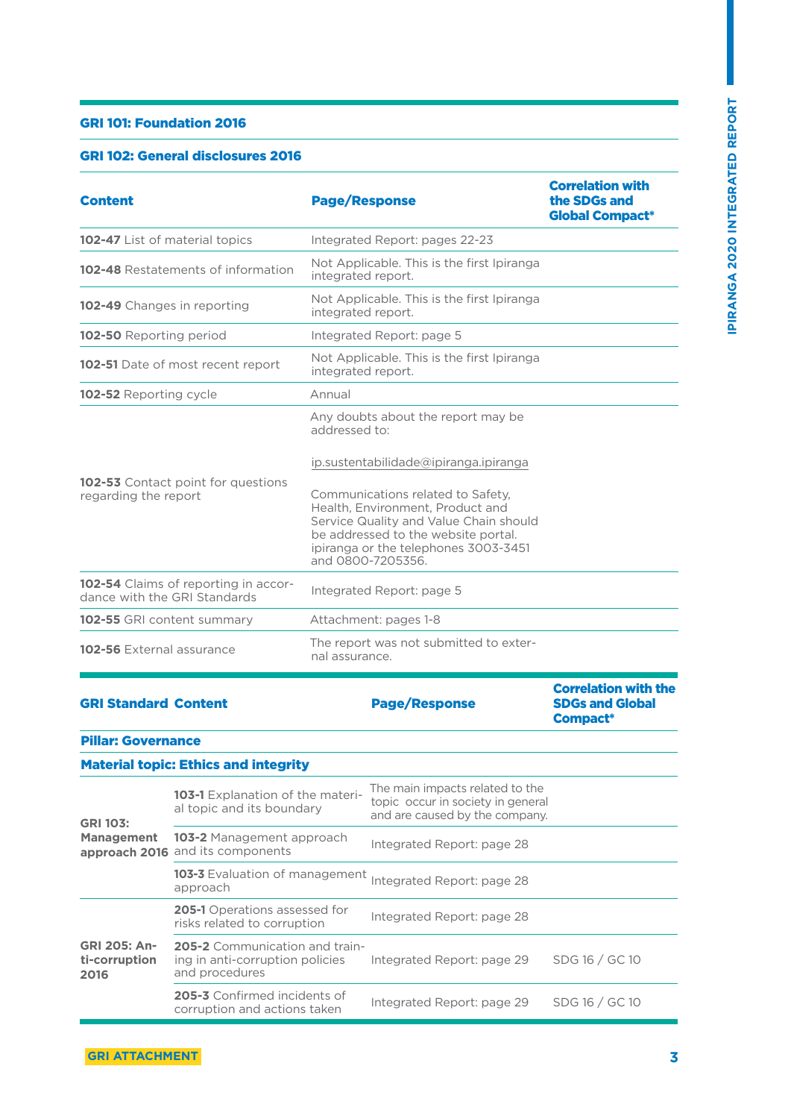#### GRI 101: Foundation 2016

#### GRI 102: General disclosures 2016

| <b>Content</b>                                                       | <b>Page/Response</b>                                                                                                                                                                                                                                         | <b>Correlation with</b><br>the SDGs and<br><b>Global Compact*</b>        |
|----------------------------------------------------------------------|--------------------------------------------------------------------------------------------------------------------------------------------------------------------------------------------------------------------------------------------------------------|--------------------------------------------------------------------------|
| 102-47 List of material topics                                       | Integrated Report: pages 22-23                                                                                                                                                                                                                               |                                                                          |
| 102-48 Restatements of information                                   | Not Applicable. This is the first Ipiranga<br>integrated report.                                                                                                                                                                                             |                                                                          |
| 102-49 Changes in reporting                                          | Not Applicable. This is the first Ipiranga<br>integrated report.                                                                                                                                                                                             |                                                                          |
| 102-50 Reporting period                                              | Integrated Report: page 5                                                                                                                                                                                                                                    |                                                                          |
| <b>102-51</b> Date of most recent report                             | Not Applicable. This is the first Ipiranga<br>integrated report.                                                                                                                                                                                             |                                                                          |
| 102-52 Reporting cycle                                               | Annual                                                                                                                                                                                                                                                       |                                                                          |
|                                                                      | Any doubts about the report may be<br>addressed to:                                                                                                                                                                                                          |                                                                          |
| <b>102-53</b> Contact point for questions<br>regarding the report    | ip.sustentabilidade@ipiranga.ipiranga<br>Communications related to Safety,<br>Health, Environment, Product and<br>Service Quality and Value Chain should<br>be addressed to the website portal.<br>ipiranga or the telephones 3003-3451<br>and 0800-7205356. |                                                                          |
| 102-54 Claims of reporting in accor-<br>dance with the GRI Standards | Integrated Report: page 5                                                                                                                                                                                                                                    |                                                                          |
| 102-55 GRI content summary                                           | Attachment: pages 1-8                                                                                                                                                                                                                                        |                                                                          |
| <b>102-56</b> External assurance                                     | The report was not submitted to exter-<br>nal assurance.                                                                                                                                                                                                     |                                                                          |
| <b>GRI Standard Content</b>                                          | <b>Page/Response</b>                                                                                                                                                                                                                                         | <b>Correlation with the</b><br><b>SDGs and Global</b><br><b>Compact*</b> |

Pillar: Governance

#### Material topic: Ethics and integrity

| <b>GRI 103:</b><br><b>Management</b>         | 103-1 Explanation of the materi-<br>al topic and its boundary                              | The main impacts related to the<br>topic occur in society in general<br>and are caused by the company. |                |
|----------------------------------------------|--------------------------------------------------------------------------------------------|--------------------------------------------------------------------------------------------------------|----------------|
|                                              | <b>103-2</b> Management approach<br>approach 2016 and its components                       | Integrated Report: page 28                                                                             |                |
|                                              | 103-3 Evaluation of management<br>approach                                                 | Integrated Report: page 28                                                                             |                |
| <b>GRI 205: An-</b><br>ti-corruption<br>2016 | <b>205-1</b> Operations assessed for<br>risks related to corruption                        | Integrated Report: page 28                                                                             |                |
|                                              | <b>205-2</b> Communication and train-<br>ing in anti-corruption policies<br>and procedures | Integrated Report: page 29                                                                             | SDG 16 / GC 10 |
|                                              | 205-3 Confirmed incidents of<br>corruption and actions taken                               | Integrated Report: page 29                                                                             | SDG 16 / GC 10 |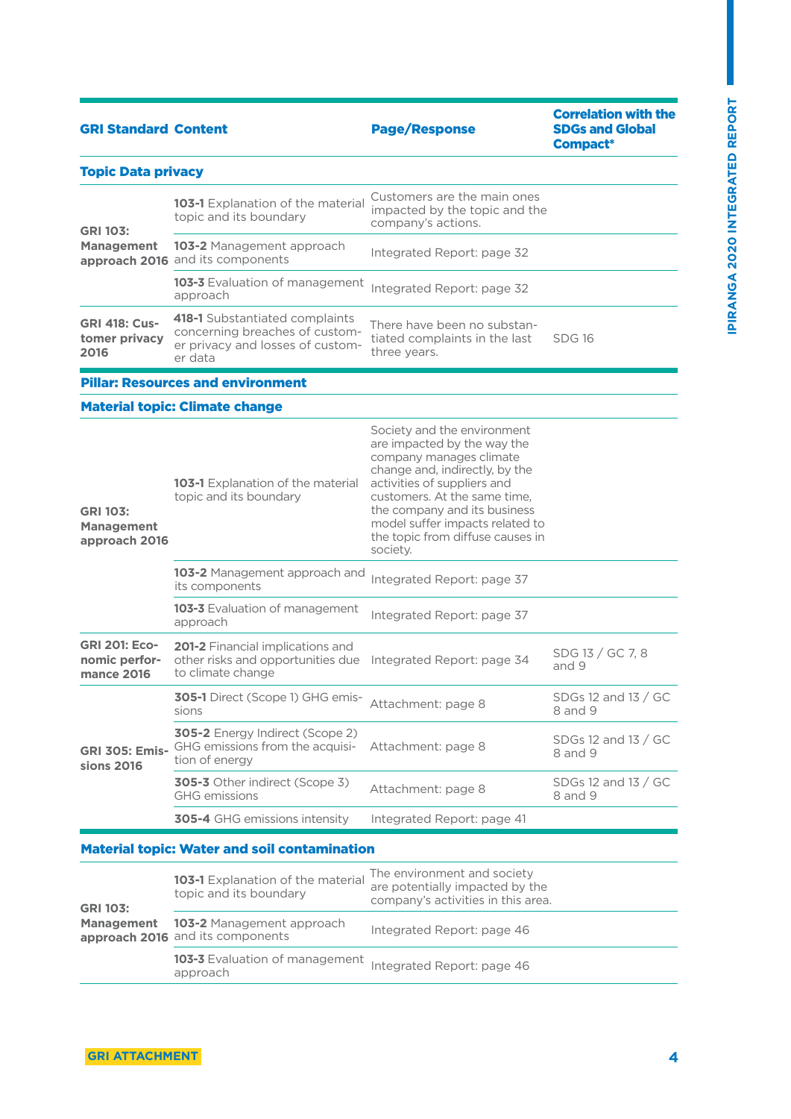| <b>GRI Standard Content</b>                                |                                                                                                                 | <b>Page/Response</b>                                                                                                                                                                                                                                                                                      | <b>Correlation with the</b><br><b>SDGs and Global</b><br>Compact* |
|------------------------------------------------------------|-----------------------------------------------------------------------------------------------------------------|-----------------------------------------------------------------------------------------------------------------------------------------------------------------------------------------------------------------------------------------------------------------------------------------------------------|-------------------------------------------------------------------|
| <b>Topic Data privacy</b>                                  |                                                                                                                 |                                                                                                                                                                                                                                                                                                           |                                                                   |
| <b>GRI 103:</b>                                            | 103-1 Explanation of the material<br>topic and its boundary                                                     | Customers are the main ones<br>impacted by the topic and the<br>company's actions.                                                                                                                                                                                                                        |                                                                   |
| <b>Management</b>                                          | <b>103-2</b> Management approach<br>approach 2016 and its components                                            | Integrated Report: page 32                                                                                                                                                                                                                                                                                |                                                                   |
|                                                            | 103-3 Evaluation of management<br>approach                                                                      | Integrated Report: page 32                                                                                                                                                                                                                                                                                |                                                                   |
| <b>GRI 418: Cus-</b><br>tomer privacy<br>2016              | 418-1 Substantiated complaints<br>concerning breaches of custom-<br>er privacy and losses of custom-<br>er data | There have been no substan-<br>tiated complaints in the last<br>three years.                                                                                                                                                                                                                              | <b>SDG 16</b>                                                     |
|                                                            | <b>Pillar: Resources and environment</b>                                                                        |                                                                                                                                                                                                                                                                                                           |                                                                   |
|                                                            | <b>Material topic: Climate change</b>                                                                           |                                                                                                                                                                                                                                                                                                           |                                                                   |
| <b>GRI 103:</b><br><b>Management</b><br>approach 2016      | 103-1 Explanation of the material<br>topic and its boundary                                                     | Society and the environment<br>are impacted by the way the<br>company manages climate<br>change and, indirectly, by the<br>activities of suppliers and<br>customers. At the same time,<br>the company and its business<br>model suffer impacts related to<br>the topic from diffuse causes in<br>society. |                                                                   |
|                                                            | 103-2 Management approach and<br>its components                                                                 | Integrated Report: page 37                                                                                                                                                                                                                                                                                |                                                                   |
|                                                            | 103-3 Evaluation of management<br>approach                                                                      | Integrated Report: page 37                                                                                                                                                                                                                                                                                |                                                                   |
| <b>GRI 201: Eco-</b><br>nomic perfor-<br><b>mance 2016</b> | 201-2 Financial implications and<br>other risks and opportunities due<br>to climate change                      | Integrated Report: page 34                                                                                                                                                                                                                                                                                | SDG 13 / GC 7, 8<br>and 9                                         |
|                                                            | 305-1 Direct (Scope 1) GHG emis-<br><b>SIONS</b>                                                                | Attachment: page 8                                                                                                                                                                                                                                                                                        | SDGs 12 and 13 / GC<br>8 and 9                                    |
| <b>GRI 305: Emis-</b><br>sions 2016                        | 305-2 Energy Indirect (Scope 2)<br>GHG emissions from the acquisi-<br>tion of energy                            | Attachment: page 8                                                                                                                                                                                                                                                                                        | SDGs 12 and 13 / GC<br>8 and 9                                    |
|                                                            | 305-3 Other indirect (Scope 3)<br><b>GHG</b> emissions                                                          | Attachment: page 8                                                                                                                                                                                                                                                                                        | SDGs 12 and 13 / GC<br>8 and 9                                    |
|                                                            | <b>305-4</b> GHG emissions intensity                                                                            | Integrated Report: page 41                                                                                                                                                                                                                                                                                |                                                                   |
| <b>Material topic: Water and soil contamination</b>        |                                                                                                                 |                                                                                                                                                                                                                                                                                                           |                                                                   |
|                                                            | 103-1 Explanation of the material                                                                               | The environment and society                                                                                                                                                                                                                                                                               |                                                                   |

| <b>GRI 103:</b> | 103-1 Explanation of the material<br>topic and its boundary                     | The environment and society<br>are potentially impacted by the<br>company's activities in this area. |
|-----------------|---------------------------------------------------------------------------------|------------------------------------------------------------------------------------------------------|
|                 | <b>Management 103-2</b> Management approach<br>approach 2016 and its components | Integrated Report: page 46                                                                           |
|                 | <b>103-3</b> Evaluation of management<br>approach                               | Integrated Report: page 46                                                                           |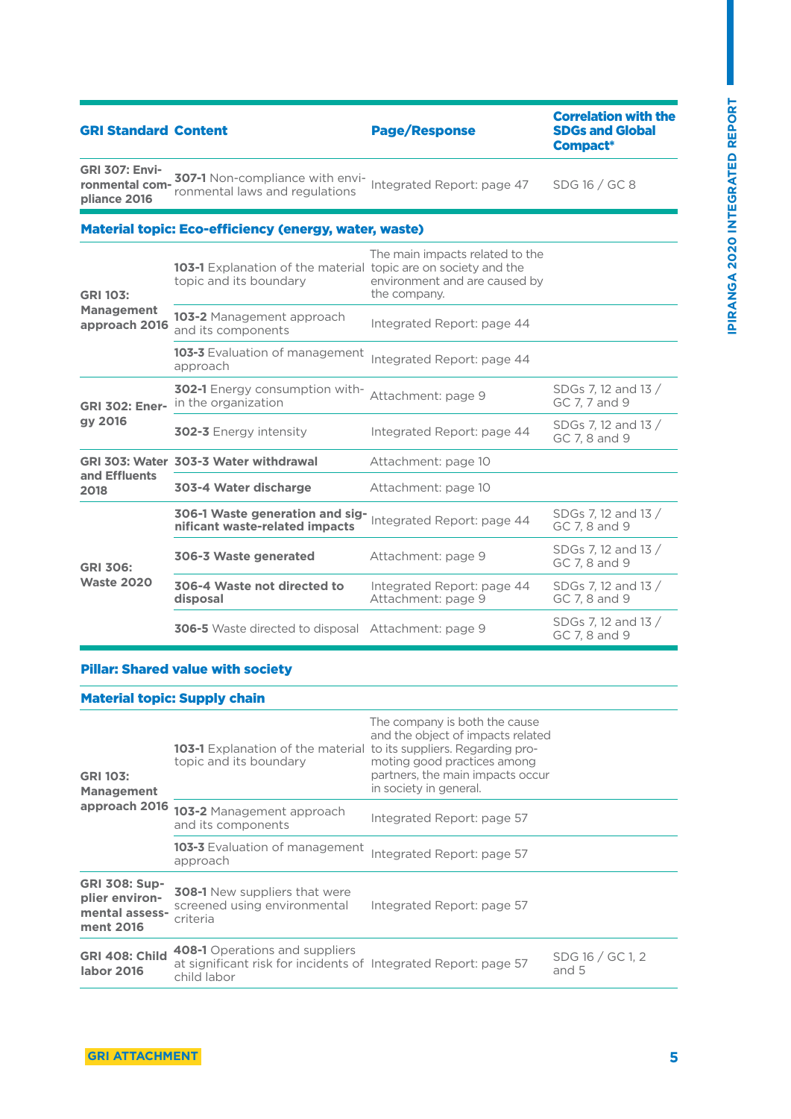| <b>GRI Standard Content</b>                             |                                                                                                 | <b>Page/Response</b>                                                             | <b>Correlation with the</b><br><b>SDGs and Global</b><br>Compact* |
|---------------------------------------------------------|-------------------------------------------------------------------------------------------------|----------------------------------------------------------------------------------|-------------------------------------------------------------------|
| <b>GRI 307: Envi-</b><br>ronmental com-<br>pliance 2016 | <b>307-1</b> Non-compliance with envi-<br>ronmental laws and regulations                        | Integrated Report: page 47                                                       | SDG 16 / GC 8                                                     |
|                                                         | <b>Material topic: Eco-efficiency (energy, water, waste)</b>                                    |                                                                                  |                                                                   |
| <b>GRI 103:</b><br><b>Management</b><br>approach 2016   | <b>103-1</b> Explanation of the material topic are on society and the<br>topic and its boundary | The main impacts related to the<br>environment and are caused by<br>the company. |                                                                   |
|                                                         | <b>103-2</b> Management approach<br>and its components                                          | Integrated Report: page 44                                                       |                                                                   |
|                                                         | <b>103-3</b> Evaluation of management<br>approach                                               | Integrated Report: page 44                                                       |                                                                   |
| <b>GRI 302: Ener-</b>                                   | <b>302-1</b> Energy consumption with-<br>in the organization                                    | Attachment: page 9                                                               | SDGs 7, 12 and 13 /<br>GC 7, 7 and 9                              |
| $\bigwedge_{i=1}^{n}$                                   |                                                                                                 |                                                                                  |                                                                   |

| gy 2016                              | <b>302-3 Energy intensity</b>                                     | Integrated Report: page 44                       | SDGs 7.12 and 13 /<br>GC 7.8 and 9   |
|--------------------------------------|-------------------------------------------------------------------|--------------------------------------------------|--------------------------------------|
|                                      | GRI 303: Water 303-3 Water withdrawal                             | Attachment: page 10                              |                                      |
| and Effluents<br>2018                | 303-4 Water discharge                                             | Attachment: page 10                              |                                      |
| <b>GRI 306:</b><br><b>Waste 2020</b> | 306-1 Waste generation and sig-<br>nificant waste-related impacts | Integrated Report: page 44                       | SDGs 7, 12 and 13 /<br>GC 7.8 and 9  |
|                                      | 306-3 Waste generated                                             | Attachment: page 9                               | SDGs 7, 12 and 13 /<br>GC 7, 8 and 9 |
|                                      | 306-4 Waste not directed to<br>disposal                           | Integrated Report: page 44<br>Attachment: page 9 | SDGs 7.12 and 13 /<br>GC 7.8 and 9   |
|                                      | <b>306-5</b> Waste directed to disposal Attachment: page 9        |                                                  | SDGs 7, 12 and 13 /<br>GC 7.8 and 9  |

#### Pillar: Shared value with society

#### Material topic: Supply chain

| <b>GRI 103:</b><br><b>Management</b><br>approach 2016                 | <b>103-1</b> Explanation of the material to its suppliers. Regarding pro-<br>topic and its boundary              | The company is both the cause<br>and the object of impacts related<br>moting good practices among<br>partners, the main impacts occur<br>in society in general. |                           |
|-----------------------------------------------------------------------|------------------------------------------------------------------------------------------------------------------|-----------------------------------------------------------------------------------------------------------------------------------------------------------------|---------------------------|
|                                                                       | 103-2 Management approach<br>and its components                                                                  | Integrated Report: page 57                                                                                                                                      |                           |
|                                                                       | <b>103-3</b> Evaluation of management<br>approach                                                                | Integrated Report: page 57                                                                                                                                      |                           |
| <b>GRI 308: Sup-</b><br>plier environ-<br>mental assess-<br>ment 2016 | <b>308-1</b> New suppliers that were<br>screened using environmental<br>criteria                                 | Integrated Report: page 57                                                                                                                                      |                           |
| <b>GRI 408: Child</b><br>labor 2016                                   | 408-1 Operations and suppliers<br>at significant risk for incidents of Integrated Report: page 57<br>child labor |                                                                                                                                                                 | SDG 16 / GC 1, 2<br>and 5 |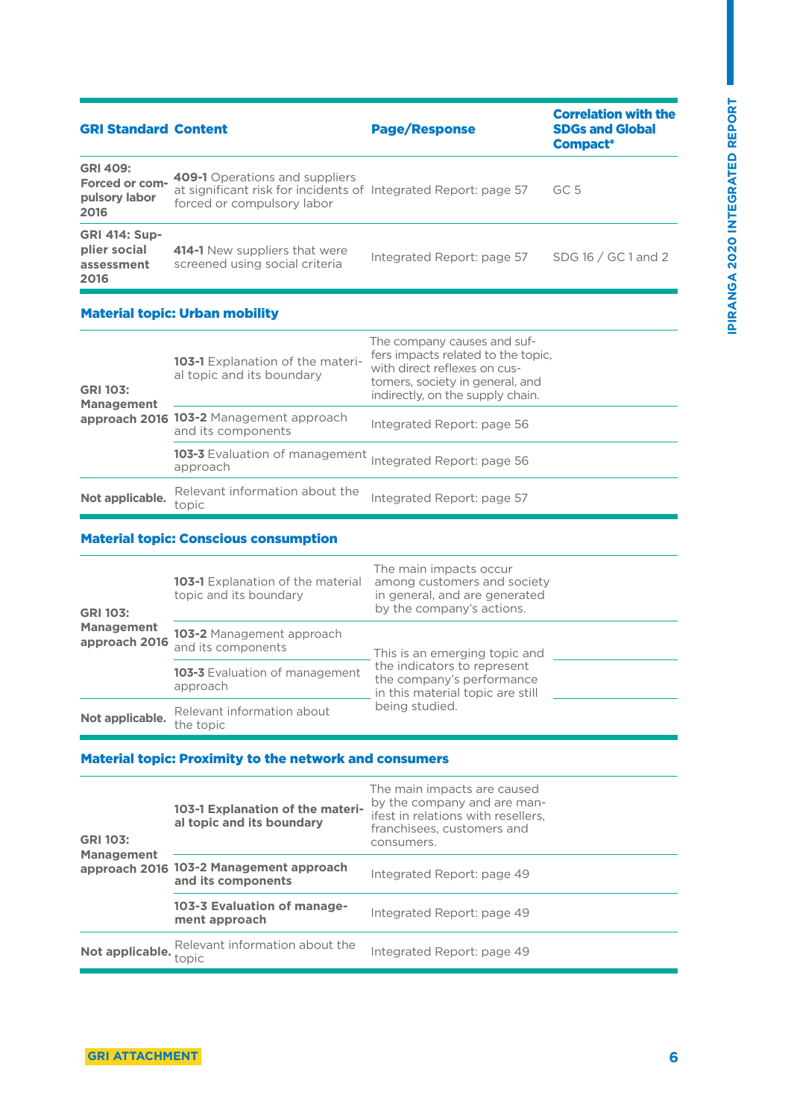| <b>GRI Standard Content</b>                                |                                                                                                                                        | <b>Page/Response</b>       | <b>Correlation with the</b><br><b>SDGs and Global</b><br>Compact* |
|------------------------------------------------------------|----------------------------------------------------------------------------------------------------------------------------------------|----------------------------|-------------------------------------------------------------------|
| <b>GRI 409:</b><br>Forced or com-<br>pulsory labor<br>2016 | <b>409-1</b> Operations and suppliers<br>at significant risk for incidents of Integrated Report: page 57<br>forced or compulsory labor |                            | GC.5                                                              |
| <b>GRI 414: Sup-</b><br>plier social<br>assessment<br>2016 | 414-1 New suppliers that were<br>screened using social criteria                                                                        | Integrated Report: page 57 | SDG 16 / GC 1 and 2                                               |

| <b>GRI 103:</b><br><b>Management</b> | <b>103-1</b> Explanation of the materi-<br>al topic and its boundary | The company causes and suf-<br>fers impacts related to the topic.<br>with direct reflexes on cus-<br>tomers, society in general, and<br>indirectly, on the supply chain. |
|--------------------------------------|----------------------------------------------------------------------|--------------------------------------------------------------------------------------------------------------------------------------------------------------------------|
|                                      | approach 2016 103-2 Management approach<br>and its components        | Integrated Report: page 56                                                                                                                                               |
|                                      | <b>103-3</b> Evaluation of management<br>approach                    | Integrated Report: page 56                                                                                                                                               |
| Not applicable.                      | Relevant information about the<br>topic                              | Integrated Report: page 57                                                                                                                                               |

#### Material topic: Conscious consumption

| <b>GRI 103:</b><br><b>Management</b><br>approach 2016 | <b>103-1</b> Explanation of the material<br>topic and its boundary | The main impacts occur<br>among customers and society<br>in general, and are generated<br>by the company's actions. |
|-------------------------------------------------------|--------------------------------------------------------------------|---------------------------------------------------------------------------------------------------------------------|
|                                                       | <b>103-2</b> Management approach<br>and its components             | This is an emerging topic and                                                                                       |
|                                                       | 103-3 Evaluation of management<br>approach                         | the indicators to represent<br>the company's performance<br>in this material topic are still                        |
| Not applicable.                                       | Relevant information about<br>the topic                            | being studied.                                                                                                      |

#### Material topic: Proximity to the network and consumers

| <b>GRI 103:</b><br><b>Management</b> | 103-1 Explanation of the materi-<br>al topic and its boundary | The main impacts are caused<br>by the company and are man-<br>ifest in relations with resellers.<br>franchisees, customers and<br>consumers. |  |  |
|--------------------------------------|---------------------------------------------------------------|----------------------------------------------------------------------------------------------------------------------------------------------|--|--|
|                                      | approach 2016 103-2 Management approach<br>and its components | Integrated Report: page 49                                                                                                                   |  |  |
|                                      | 103-3 Evaluation of manage-<br>ment approach                  | Integrated Report: page 49                                                                                                                   |  |  |
|                                      | Not applicable. Relevant information about the<br>topic       | Integrated Report: page 49                                                                                                                   |  |  |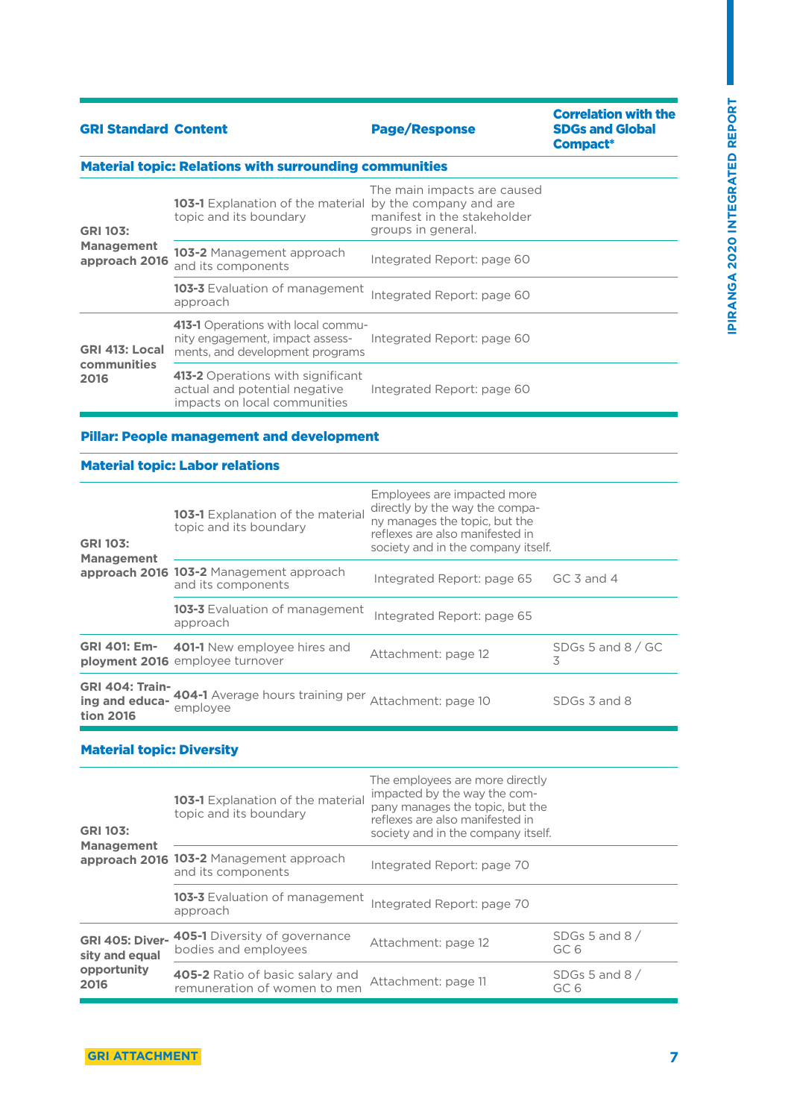Correlation with the

| <b>GRI Standard Content</b>                                   |                                                                                                          | <b>Page/Response</b>                                                             | <b>SDGs and Global</b><br>Compact* |  |  |  |  |
|---------------------------------------------------------------|----------------------------------------------------------------------------------------------------------|----------------------------------------------------------------------------------|------------------------------------|--|--|--|--|
| <b>Material topic: Relations with surrounding communities</b> |                                                                                                          |                                                                                  |                                    |  |  |  |  |
| <b>GRI 103:</b>                                               | <b>103-1</b> Explanation of the material by the company and are<br>topic and its boundary                | The main impacts are caused<br>manifest in the stakeholder<br>groups in general. |                                    |  |  |  |  |
| <b>Management</b><br>approach 2016                            | <b>103-2</b> Management approach<br>and its components                                                   | Integrated Report: page 60                                                       |                                    |  |  |  |  |
|                                                               | 103-3 Evaluation of management<br>approach                                                               | Integrated Report: page 60                                                       |                                    |  |  |  |  |
| GRI 413: Local                                                | 413-1 Operations with local commu-<br>nity engagement, impact assess-<br>ments, and development programs | Integrated Report: page 60                                                       |                                    |  |  |  |  |
| communities<br>2016                                           | 413-2 Operations with significant<br>actual and potential negative                                       | Integrated Report: page 60                                                       |                                    |  |  |  |  |

#### Pillar: People management and development

impacts on local communities

#### Material topic: Labor relations

| <b>GRI 103:</b><br><b>Management</b>                  | <b>103-1</b> Explanation of the material<br>topic and its boundary            | Employees are impacted more<br>directly by the way the compa-<br>ny manages the topic, but the<br>reflexes are also manifested in<br>society and in the company itself. |                                      |
|-------------------------------------------------------|-------------------------------------------------------------------------------|-------------------------------------------------------------------------------------------------------------------------------------------------------------------------|--------------------------------------|
|                                                       | approach 2016 103-2 Management approach<br>and its components                 | Integrated Report: page 65                                                                                                                                              | GC $\overline{3}$ and $\overline{4}$ |
|                                                       | <b>103-3</b> Evaluation of management<br>approach                             | Integrated Report: page 65                                                                                                                                              |                                      |
| <b>GRI 401: Em-</b>                                   | <b>401-1</b> New employee hires and<br><b>ployment 2016</b> employee turnover | Attachment: page 12                                                                                                                                                     | SDGs 5 and $8/$ GC<br>3              |
| <b>GRI 404: Train-</b><br>ing and educa-<br>tion 2016 | 404-1 Average hours training per Attachment: page 10<br>employee              |                                                                                                                                                                         | SDGs 3 and 8                         |

#### Material topic: Diversity

| <b>GRI 103:</b><br><b>Management</b>     | <b>103-1</b> Explanation of the material<br>topic and its boundary     | The employees are more directly<br>impacted by the way the com-<br>pany manages the topic, but the<br>reflexes are also manifested in<br>society and in the company itself. |                          |  |
|------------------------------------------|------------------------------------------------------------------------|-----------------------------------------------------------------------------------------------------------------------------------------------------------------------------|--------------------------|--|
|                                          | approach 2016 103-2 Management approach<br>and its components          | Integrated Report: page 70                                                                                                                                                  |                          |  |
|                                          | <b>103-3</b> Evaluation of management<br>approach                      | Integrated Report: page 70                                                                                                                                                  |                          |  |
| <b>GRI 405: Diver-</b><br>sity and equal | <b>405-1</b> Diversity of governance<br>bodies and employees           | Attachment: page 12                                                                                                                                                         | SDGs 5 and 8 $/$<br>GC 6 |  |
| opportunity<br>2016                      | <b>405-2</b> Ratio of basic salary and<br>remuneration of women to men | Attachment: page 11                                                                                                                                                         | SDGs 5 and 8 $/$<br>GC 6 |  |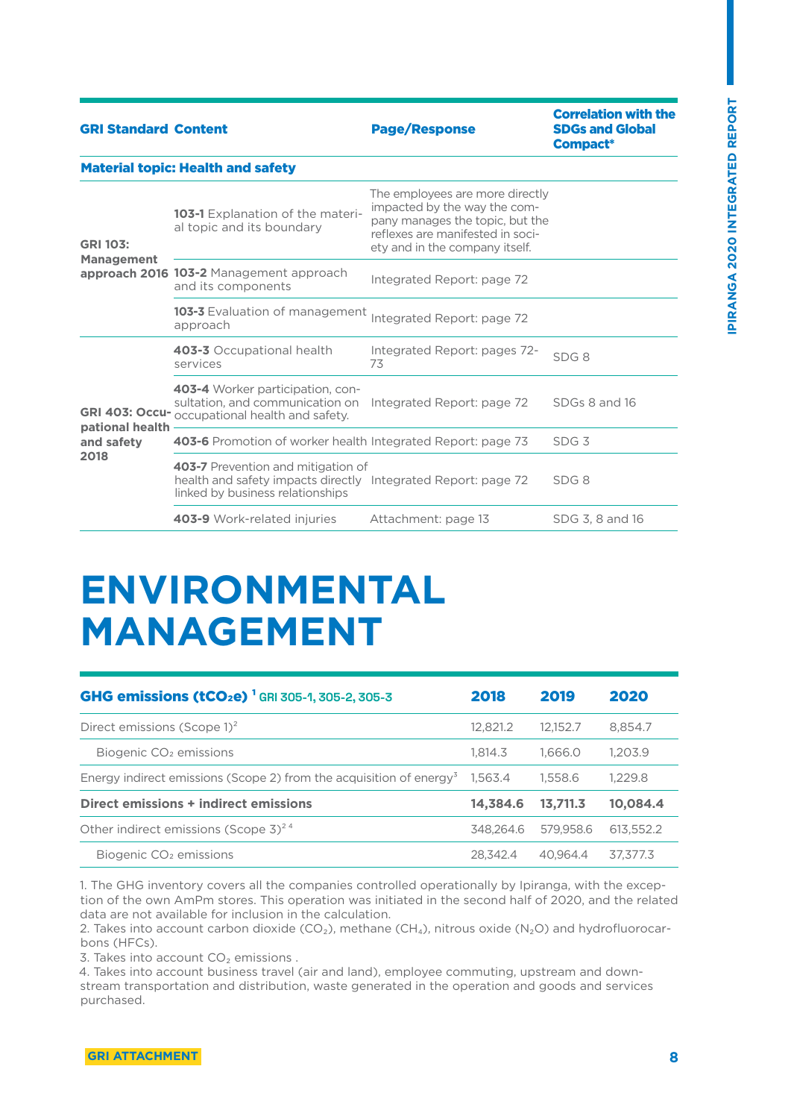| <b>GRI Standard Content</b>          |                                                                                                                                         | <b>Page/Response</b>                                                                                                                                                     | <b>Correlation with the</b><br><b>SDGs and Global</b><br>Compact* |
|--------------------------------------|-----------------------------------------------------------------------------------------------------------------------------------------|--------------------------------------------------------------------------------------------------------------------------------------------------------------------------|-------------------------------------------------------------------|
|                                      | <b>Material topic: Health and safety</b>                                                                                                |                                                                                                                                                                          |                                                                   |
| <b>GRI 103:</b><br><b>Management</b> | <b>103-1</b> Explanation of the materi-<br>al topic and its boundary                                                                    | The employees are more directly<br>impacted by the way the com-<br>pany manages the topic, but the<br>reflexes are manifested in soci-<br>ety and in the company itself. |                                                                   |
|                                      | approach 2016 103-2 Management approach<br>and its components                                                                           | Integrated Report: page 72                                                                                                                                               |                                                                   |
|                                      | <b>103-3</b> Evaluation of management<br>approach                                                                                       | Integrated Report: page 72                                                                                                                                               |                                                                   |
|                                      | 403-3 Occupational health<br>services                                                                                                   | Integrated Report: pages 72-<br>73                                                                                                                                       | SDG <sub>8</sub>                                                  |
| pational health                      | 403-4 Worker participation, con-<br>sultation, and communication on<br>GRI 403: Occu- occupational health and safety.                   | Integrated Report: page 72                                                                                                                                               | SDGs 8 and 16                                                     |
| and safety<br>2018                   | 403-6 Promotion of worker health Integrated Report: page 73                                                                             |                                                                                                                                                                          | SDG <sub>3</sub>                                                  |
|                                      | 403-7 Prevention and mitigation of<br>health and safety impacts directly Integrated Report: page 72<br>linked by business relationships |                                                                                                                                                                          | SDG <sub>8</sub>                                                  |
|                                      | 403-9 Work-related injuries                                                                                                             | Attachment: page 13                                                                                                                                                      | SDG 3, 8 and 16                                                   |

## **ENVIRONMENTAL MANAGEMENT**

| <b>GHG emissions (tCO<sub>2</sub>e)</b> $^1$ GRI 305-1, 305-2, 305-3   | 2018      | 2019      | 2020      |
|------------------------------------------------------------------------|-----------|-----------|-----------|
| Direct emissions (Scope $1)^2$                                         | 12.821.2  | 12.152.7  | 8,854.7   |
| Biogenic CO <sub>2</sub> emissions                                     | 1.814.3   | 1.666.0   | 1.203.9   |
| Energy indirect emissions (Scope 2) from the acquisition of energy $3$ | 1.563.4   | 1.558.6   | 1.229.8   |
| Direct emissions + indirect emissions                                  | 14.384.6  | 13.711.3  | 10,084.4  |
| Other indirect emissions (Scope $3)^{24}$                              | 348.264.6 | 579,958.6 | 613,552.2 |
| Biogenic CO <sub>2</sub> emissions                                     | 28.342.4  | 40.964.4  | 37,377.3  |

1. The GHG inventory covers all the companies controlled operationally by Ipiranga, with the exception of the own AmPm stores. This operation was initiated in the second half of 2020, and the related data are not available for inclusion in the calculation.

2. Takes into account carbon dioxide (CO<sub>2</sub>), methane (CH<sub>4</sub>), nitrous oxide (N<sub>2</sub>O) and hydrofluorocarbons (HFCs).

3. Takes into account  $CO<sub>2</sub>$  emissions.

4. Takes into account business travel (air and land), employee commuting, upstream and downstream transportation and distribution, waste generated in the operation and goods and services purchased.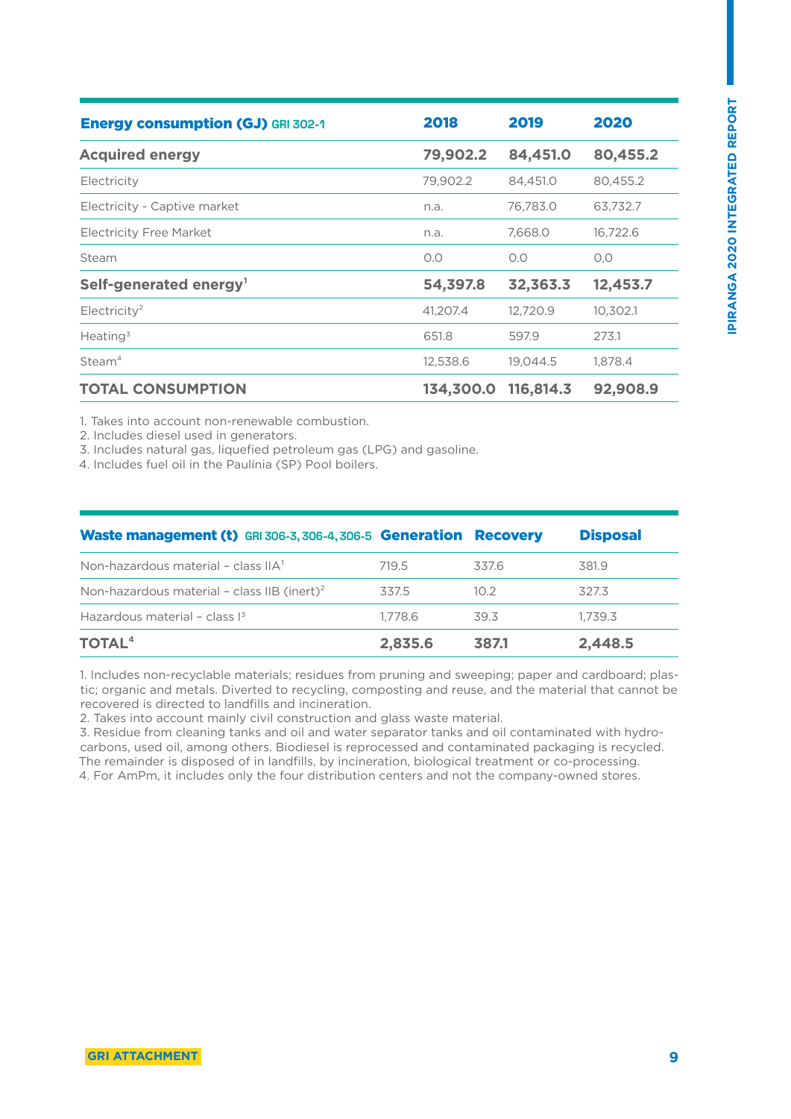| <b>Energy consumption (GJ) GRI 302-1</b> | 2018      | 2019      | 2020     |
|------------------------------------------|-----------|-----------|----------|
| <b>Acquired energy</b>                   | 79,902.2  | 84,451.0  | 80,455.2 |
| Electricity                              | 79,902.2  | 84,451.0  | 80,455.2 |
| Electricity - Captive market             | n.a.      | 76,783.0  | 63,732.7 |
| <b>Electricity Free Market</b>           | n.a.      | 7,668.0   | 16,722.6 |
| Steam                                    | O.O       | O.O       | O, O     |
| Self-generated energy <sup>1</sup>       | 54,397.8  | 32,363.3  | 12,453.7 |
| Electricity <sup>2</sup>                 | 41,207.4  | 12,720.9  | 10,302.1 |
| Heating <sup>3</sup>                     | 651.8     | 597.9     | 273.1    |
| Steam <sup>4</sup>                       | 12,538.6  | 19,044.5  | 1,878.4  |
| <b>TOTAL CONSUMPTION</b>                 | 134,300.0 | 116,814.3 | 92,908.9 |

1. Takes into account non-renewable combustion.

2. Includes diesel used in generators.

3. Includes natural gas, liquefied petroleum gas (LPG) and gasoline.

4. Includes fuel oil in the Paulínia (SP) Pool boilers.

| <b>Waste management (t)</b> GRI 306-3, 306-4, 306-5 Generation Recovery |         |                   | <b>Disposal</b> |
|-------------------------------------------------------------------------|---------|-------------------|-----------------|
| Non-hazardous material - class $IIA^1$                                  | 719.5   | 337.6             | 381.9           |
| Non-hazardous material - class IIB (inert) <sup>2</sup>                 | 337.5   | 10.2 <sup>2</sup> | 327.3           |
| Hazardous material - class $\mathbb{I}^3$                               | 1.778.6 | 39.3              | 1.739.3         |
| <b>TOTAL<sup>4</sup></b>                                                | 2,835.6 | 387.1             | 2,448.5         |

1. Includes non-recyclable materials; residues from pruning and sweeping; paper and cardboard; plastic; organic and metals. Diverted to recycling, composting and reuse, and the material that cannot be recovered is directed to landfills and incineration.

2. Takes into account mainly civil construction and glass waste material.

3. Residue from cleaning tanks and oil and water separator tanks and oil contaminated with hydrocarbons, used oil, among others. Biodiesel is reprocessed and contaminated packaging is recycled. The remainder is disposed of in landfills, by incineration, biological treatment or co-processing. 4. For AmPm, it includes only the four distribution centers and not the company-owned stores.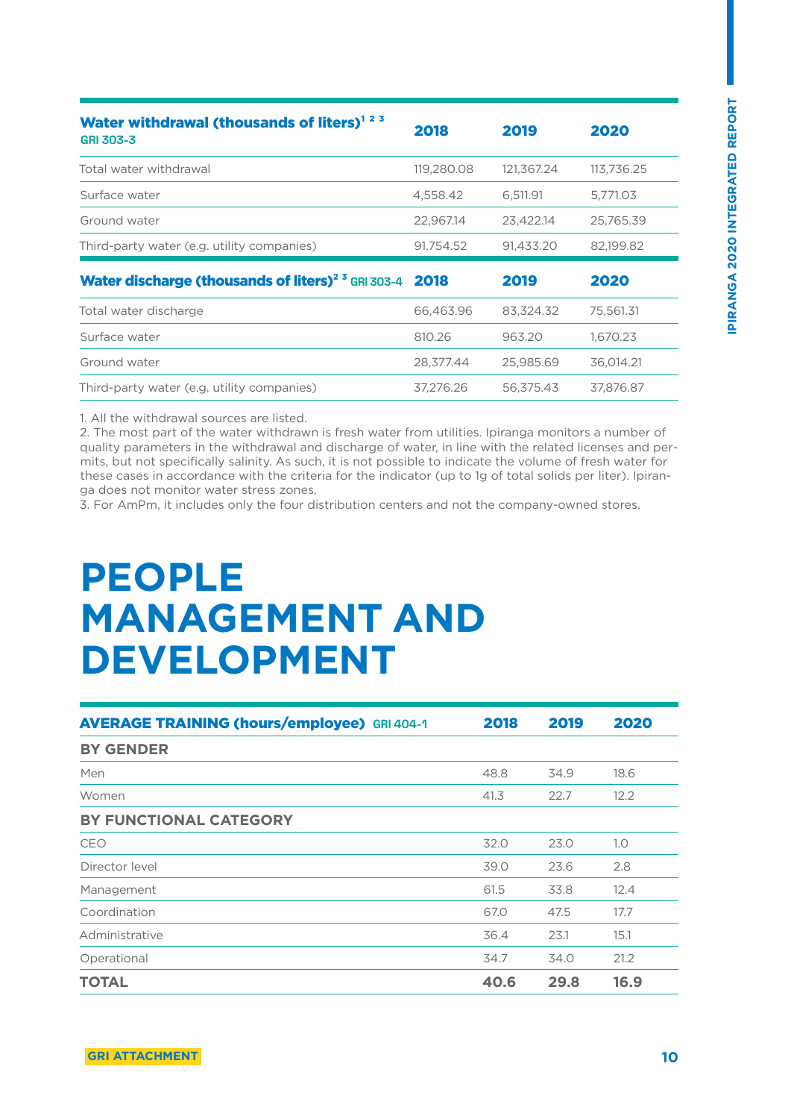| Water withdrawal (thousands of liters) <sup>123</sup><br><b>GRI 303-3</b> | 2018       | 2019       | 2020       |
|---------------------------------------------------------------------------|------------|------------|------------|
|                                                                           |            |            |            |
| Total water withdrawal                                                    | 119,280.08 | 121,367.24 | 113.736.25 |
| Surface water                                                             | 4,558.42   | 6,511.91   | 5,771.03   |
| Ground water                                                              | 22,967.14  | 23,422.14  | 25.765.39  |
| Third-party water (e.g. utility companies)                                | 91,754.52  | 91,433.20  | 82,199.82  |
|                                                                           |            |            |            |
| Water discharge (thousands of liters) <sup>2 3</sup> GRI 303-4 2018       |            | 2019       | 2020       |
| Total water discharge                                                     | 66,463.96  | 83,324.32  | 75,561.31  |
| Surface water                                                             | 810.26     | 963.20     | 1,670.23   |
| Ground water                                                              | 28,377.44  | 25,985.69  | 36,014.21  |
| Third-party water (e.g. utility companies)                                | 37,276.26  | 56,375.43  | 37,876.87  |

1. All the withdrawal sources are listed.

2. The most part of the water withdrawn is fresh water from utilities. Ipiranga monitors a number of quality parameters in the withdrawal and discharge of water, in line with the related licenses and permits, but not specifically salinity. As such, it is not possible to indicate the volume of fresh water for these cases in accordance with the criteria for the indicator (up to 1g of total solids per liter). Ipiranga does not monitor water stress zones.

3. For AmPm, it includes only the four distribution centers and not the company-owned stores.

## **PEOPLE MANAGEMENT AND DEVELOPMENT**

| <b>AVERAGE TRAINING (hours/employee)</b> GRI 404-1 | 2018 | 2019 | 2020 |
|----------------------------------------------------|------|------|------|
| <b>BY GENDER</b>                                   |      |      |      |
| Men                                                | 48.8 | 34.9 | 18.6 |
| Women                                              | 41.3 | 22.7 | 12.2 |
| BY FUNCTIONAL CATEGORY                             |      |      |      |
| CEO                                                | 32.0 | 23.0 | 1.0  |
| Director level                                     | 39.0 | 23.6 | 2.8  |
| Management                                         | 61.5 | 33.8 | 12.4 |
| Coordination                                       | 67.0 | 47.5 | 17.7 |
| Administrative                                     | 36.4 | 23.1 | 15.1 |
| Operational                                        | 34.7 | 34.0 | 21.2 |
| <b>TOTAL</b>                                       | 40.6 | 29.8 | 16.9 |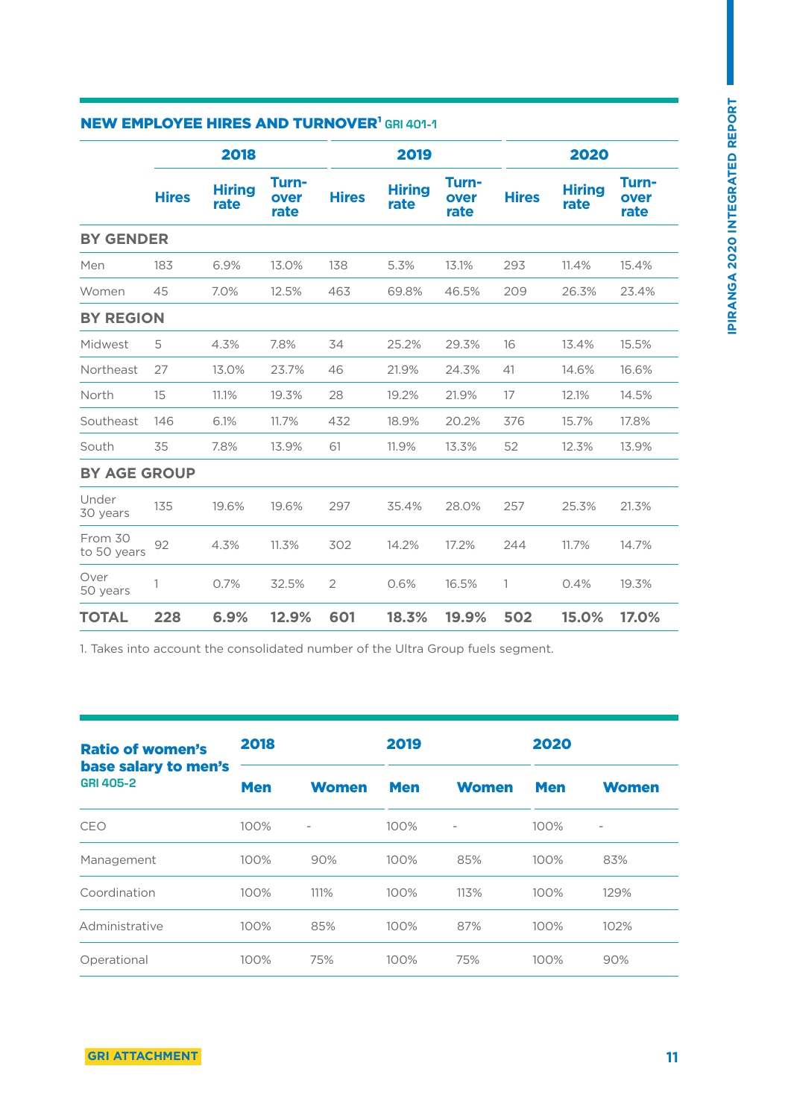| <b>NEW EMPLOYEE HIRES AND TURNOVER' GRI 401-1</b> |              |                       |                       |                |                       |                       |              |                       |                       |
|---------------------------------------------------|--------------|-----------------------|-----------------------|----------------|-----------------------|-----------------------|--------------|-----------------------|-----------------------|
|                                                   |              | 2018                  |                       |                | 2019                  |                       |              | 2020                  |                       |
|                                                   | <b>Hires</b> | <b>Hiring</b><br>rate | Turn-<br>over<br>rate | <b>Hires</b>   | <b>Hiring</b><br>rate | Turn-<br>over<br>rate | <b>Hires</b> | <b>Hiring</b><br>rate | Turn-<br>over<br>rate |
| <b>BY GENDER</b>                                  |              |                       |                       |                |                       |                       |              |                       |                       |
| Men                                               | 183          | 6.9%                  | 13.0%                 | 138            | 5.3%                  | 13.1%                 | 293          | 11.4%                 | 15.4%                 |
| Women                                             | 45           | 7.0%                  | 12.5%                 | 463            | 69.8%                 | 46.5%                 | 209          | 26.3%                 | 23.4%                 |
| <b>BY REGION</b>                                  |              |                       |                       |                |                       |                       |              |                       |                       |
| Midwest                                           | 5            | 4.3%                  | 7.8%                  | 34             | 25.2%                 | 29.3%                 | 16           | 13.4%                 | 15.5%                 |
| Northeast                                         | 27           | 13.0%                 | 23.7%                 | 46             | 21.9%                 | 24.3%                 | 41           | 14.6%                 | 16.6%                 |
| North                                             | 15           | 11.1%                 | 19.3%                 | 28             | 19.2%                 | 21.9%                 | 17           | 12.1%                 | 14.5%                 |
| Southeast                                         | 146          | 6.1%                  | 11.7%                 | 432            | 18.9%                 | 20.2%                 | 376          | 15.7%                 | 17.8%                 |
| South                                             | 35           | 7.8%                  | 13.9%                 | 61             | 11.9%                 | 13.3%                 | 52           | 12.3%                 | 13.9%                 |
| <b>BY AGE GROUP</b>                               |              |                       |                       |                |                       |                       |              |                       |                       |
| Under<br>30 years                                 | 135          | 19.6%                 | 19.6%                 | 297            | 35.4%                 | 28.0%                 | 257          | 25.3%                 | 21.3%                 |
| From 30<br>to 50 years                            | 92           | 4.3%                  | 11.3%                 | 302            | 14.2%                 | 17.2%                 | 244          | 11.7%                 | 14.7%                 |
| Over<br>50 years                                  | 1            | 0.7%                  | 32.5%                 | $\overline{2}$ | 0.6%                  | 16.5%                 | 1            | 0.4%                  | 19.3%                 |
| <b>TOTAL</b>                                      | 228          | 6.9%                  | 12.9%                 | 601            | 18.3%                 | 19.9%                 | 502          | 15.0%                 | 17.0%                 |
|                                                   |              |                       |                       |                |                       |                       |              |                       |                       |

### NEW EMPLOYEE HIDES AND TURNOVERLOR 401-4

1. Takes into account the consolidated number of the Ultra Group fuels segment.

| <b>Ratio of women's</b>                  | 2018       |                   | 2019       |                          | 2020       |                |
|------------------------------------------|------------|-------------------|------------|--------------------------|------------|----------------|
| base salary to men's<br><b>GRI 405-2</b> | <b>Men</b> | <b>Women</b>      | <b>Men</b> | <b>Women</b>             | <b>Men</b> | <b>Women</b>   |
| CEO                                      | 100%       | $\qquad \qquad -$ | 100%       | $\overline{\phantom{m}}$ | 100%       | $\overline{a}$ |
| Management                               | 100%       | 90%               | 100%       | 85%                      | 100%       | 83%            |
| Coordination                             | 100%       | 111%              | 100%       | 113%                     | 100%       | 129%           |
| Administrative                           | 100%       | 85%               | 100%       | 87%                      | 100%       | 102%           |
| Operational                              | 100%       | 75%               | 100%       | 75%                      | 100%       | 90%            |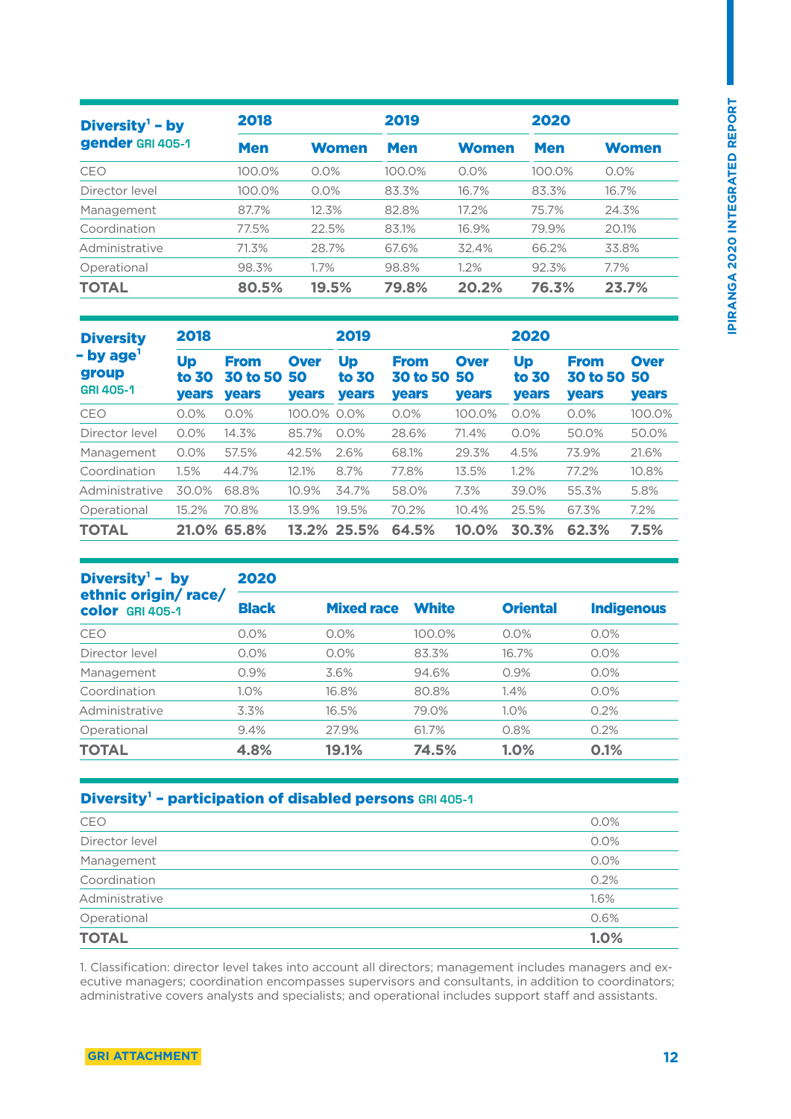| Diversity $1$ – by<br>gender GRI 405-1 | 2018       |              | 2019       |              | 2020       |              |
|----------------------------------------|------------|--------------|------------|--------------|------------|--------------|
|                                        | <b>Men</b> | <b>Women</b> | <b>Men</b> | <b>Women</b> | <b>Men</b> | <b>Women</b> |
| CEO                                    | 100.0%     | 0.0%         | 100.0%     | $0.0\%$      | 100.0%     | 0.0%         |
| Director level                         | 100.0%     | 0.0%         | 83.3%      | 16.7%        | 83.3%      | 16.7%        |
| Management                             | 87.7%      | 12.3%        | 82.8%      | 17.2%        | 75.7%      | 24.3%        |
| Coordination                           | 77.5%      | 22.5%        | 83.1%      | 16.9%        | 79.9%      | 20.1%        |
| Administrative                         | 71.3%      | 28.7%        | 67.6%      | 32.4%        | 66.2%      | 33.8%        |
| Operational                            | 98.3%      | 1.7%         | 98.8%      | 1.2%         | 92.3%      | $7.7\%$      |
| <b>TOTAL</b>                           | 80.5%      | 19.5%        | 79.8%      | 20.2%        | 76.3%      | 23.7%        |

| <b>Diversity</b>                                   | 2018                        |                                                |                                   | 2019                               |                                                |                                   | 2020                        |                                                |                                   |
|----------------------------------------------------|-----------------------------|------------------------------------------------|-----------------------------------|------------------------------------|------------------------------------------------|-----------------------------------|-----------------------------|------------------------------------------------|-----------------------------------|
| - by age <sup>1</sup><br>group<br><b>GRI 405-1</b> | Up<br>to 30<br><b>years</b> | <b>From</b><br><b>30 to 50</b><br><b>years</b> | <b>Over</b><br>50<br><b>years</b> | <b>Up</b><br>to 30<br><b>years</b> | <b>From</b><br><b>30 to 50</b><br><b>years</b> | <b>Over</b><br>50<br><b>years</b> | Up<br>to 30<br><b>years</b> | <b>From</b><br><b>30 to 50</b><br><b>years</b> | <b>Over</b><br>50<br><b>years</b> |
| CEO                                                | 0.0%                        | 0.0%                                           | 100.0%                            | 0.0%                               | 0.0%                                           | 100.0%                            | 0.0%                        | 0.0%                                           | 100.0%                            |
| Director level                                     | 0.0%                        | 14.3%                                          | 85.7%                             | 0.0%                               | 28.6%                                          | 71.4%                             | 0.0%                        | 50.0%                                          | 50.0%                             |
| Management                                         | 0.0%                        | 57.5%                                          | 42.5%                             | 2.6%                               | 68.1%                                          | 29.3%                             | 4.5%                        | 73.9%                                          | 21.6%                             |
| Coordination                                       | 1.5%                        | 44.7%                                          | 12.1%                             | 8.7%                               | 77.8%                                          | 13.5%                             | 1.2%                        | 77.2%                                          | 10.8%                             |
| Administrative                                     | 30.0%                       | 68.8%                                          | 10.9%                             | 34.7%                              | 58.0%                                          | 7.3%                              | 39.0%                       | 55.3%                                          | 5.8%                              |
| Operational                                        | 15.2%                       | 70.8%                                          | 13.9%                             | 19.5%                              | 70.2%                                          | 10.4%                             | 25.5%                       | 67.3%                                          | 7.2%                              |
| <b>TOTAL</b>                                       | 21.0%                       | 65.8%                                          | 13.2%                             | 25.5%                              | 64.5%                                          | 10.0%                             | 30.3%                       | 62.3%                                          | 7.5%                              |

| Diversity <sup>1</sup> - by                   | 2020         |                   |              |                 |                   |  |  |  |
|-----------------------------------------------|--------------|-------------------|--------------|-----------------|-------------------|--|--|--|
| ethnic origin/race/<br><b>color</b> GRI 405-1 | <b>Black</b> | <b>Mixed race</b> | <b>White</b> | <b>Oriental</b> | <b>Indigenous</b> |  |  |  |
| <b>CEO</b>                                    | 0.0%         | 0.0%              | 100.0%       | $0.0\%$         | 0.0%              |  |  |  |
| Director level                                | 0.0%         | 0.0%              | 83.3%        | 16.7%           | 0.0%              |  |  |  |
| Management                                    | 0.9%         | 3.6%              | 94.6%        | 0.9%            | 0.0%              |  |  |  |
| Coordination                                  | 1.0%         | 16.8%             | 80.8%        | 1.4%            | 0.0%              |  |  |  |
| Administrative                                | 3.3%         | 16.5%             | 79.0%        | 1.0%            | 0.2%              |  |  |  |
| Operational                                   | 9.4%         | 27.9%             | 61.7%        | 0.8%            | 0.2%              |  |  |  |
| <b>TOTAL</b>                                  | 4.8%         | 19.1%             | 74.5%        | 1.0%            | 0.1%              |  |  |  |

### Diversity<sup>1</sup> - participation of disabled persons GRI 405-1

| <b>TOTAL</b>   | 1.0% |
|----------------|------|
| Operational    | 0.6% |
| Administrative | 1.6% |
| Coordination   | 0.2% |
| Management     | 0.0% |
| Director level | 0.0% |
| <b>CEO</b>     | 0.0% |
|                |      |

1. Classification: director level takes into account all directors; management includes managers and executive managers; coordination encompasses supervisors and consultants, in addition to coordinators; administrative covers analysts and specialists; and operational includes support staff and assistants.